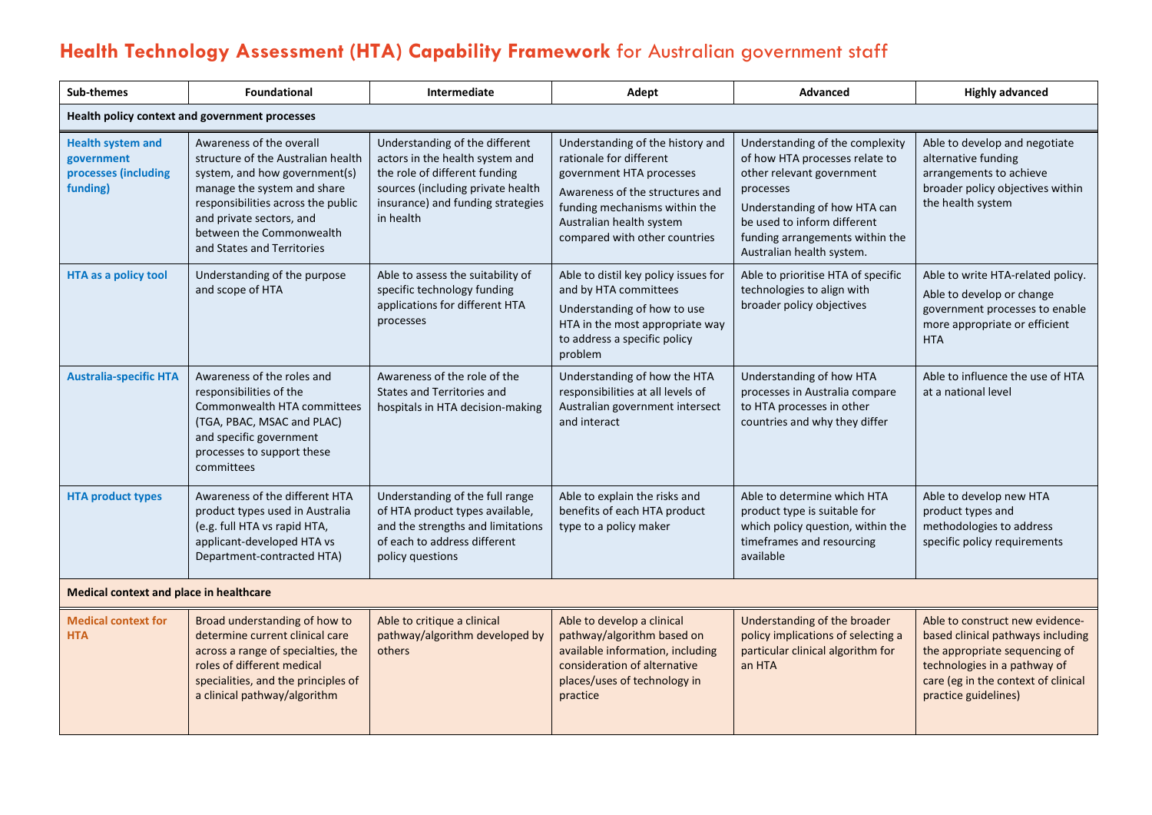## **Health Technology Assessment (HTA) Capability Framework** for Australian government staff

| <b>Sub-themes</b>                                                          | <b>Foundational</b>                                                                                                                                                                                                                                        | Intermediate                                                                                                                                                                              | Adept                                                                                                                                                                                                                    | Advanced                                                                                                                                                                                                                                   | <b>Highly advanced</b>                                                                                                                                                                               |  |
|----------------------------------------------------------------------------|------------------------------------------------------------------------------------------------------------------------------------------------------------------------------------------------------------------------------------------------------------|-------------------------------------------------------------------------------------------------------------------------------------------------------------------------------------------|--------------------------------------------------------------------------------------------------------------------------------------------------------------------------------------------------------------------------|--------------------------------------------------------------------------------------------------------------------------------------------------------------------------------------------------------------------------------------------|------------------------------------------------------------------------------------------------------------------------------------------------------------------------------------------------------|--|
| Health policy context and government processes                             |                                                                                                                                                                                                                                                            |                                                                                                                                                                                           |                                                                                                                                                                                                                          |                                                                                                                                                                                                                                            |                                                                                                                                                                                                      |  |
| <b>Health system and</b><br>government<br>processes (including<br>funding) | Awareness of the overall<br>structure of the Australian health<br>system, and how government(s)<br>manage the system and share<br>responsibilities across the public<br>and private sectors, and<br>between the Commonwealth<br>and States and Territories | Understanding of the different<br>actors in the health system and<br>the role of different funding<br>sources (including private health<br>insurance) and funding strategies<br>in health | Understanding of the history and<br>rationale for different<br>government HTA processes<br>Awareness of the structures and<br>funding mechanisms within the<br>Australian health system<br>compared with other countries | Understanding of the complexity<br>of how HTA processes relate to<br>other relevant government<br>processes<br>Understanding of how HTA can<br>be used to inform different<br>funding arrangements within the<br>Australian health system. | Able to develop and negotiate<br>alternative funding<br>arrangements to achieve<br>broader policy objectives within<br>the health system                                                             |  |
| <b>HTA as a policy tool</b>                                                | Understanding of the purpose<br>and scope of HTA                                                                                                                                                                                                           | Able to assess the suitability of<br>specific technology funding<br>applications for different HTA<br>processes                                                                           | Able to distil key policy issues for<br>and by HTA committees<br>Understanding of how to use<br>HTA in the most appropriate way<br>to address a specific policy<br>problem                                               | Able to prioritise HTA of specific<br>technologies to align with<br>broader policy objectives                                                                                                                                              | Able to write HTA-related policy.<br>Able to develop or change<br>government processes to enable<br>more appropriate or efficient<br><b>HTA</b>                                                      |  |
| <b>Australia-specific HTA</b>                                              | Awareness of the roles and<br>responsibilities of the<br>Commonwealth HTA committees<br>(TGA, PBAC, MSAC and PLAC)<br>and specific government<br>processes to support these<br>committees                                                                  | Awareness of the role of the<br>States and Territories and<br>hospitals in HTA decision-making                                                                                            | Understanding of how the HTA<br>responsibilities at all levels of<br>Australian government intersect<br>and interact                                                                                                     | Understanding of how HTA<br>processes in Australia compare<br>to HTA processes in other<br>countries and why they differ                                                                                                                   | Able to influence the use of HTA<br>at a national level                                                                                                                                              |  |
| <b>HTA product types</b>                                                   | Awareness of the different HTA<br>product types used in Australia<br>(e.g. full HTA vs rapid HTA,<br>applicant-developed HTA vs<br>Department-contracted HTA)                                                                                              | Understanding of the full range<br>of HTA product types available,<br>and the strengths and limitations<br>of each to address different<br>policy questions                               | Able to explain the risks and<br>benefits of each HTA product<br>type to a policy maker                                                                                                                                  | Able to determine which HTA<br>product type is suitable for<br>which policy question, within the<br>timeframes and resourcing<br>available                                                                                                 | Able to develop new HTA<br>product types and<br>methodologies to address<br>specific policy requirements                                                                                             |  |
| Medical context and place in healthcare                                    |                                                                                                                                                                                                                                                            |                                                                                                                                                                                           |                                                                                                                                                                                                                          |                                                                                                                                                                                                                                            |                                                                                                                                                                                                      |  |
| <b>Medical context for</b><br><b>HTA</b>                                   | Broad understanding of how to<br>determine current clinical care<br>across a range of specialties, the<br>roles of different medical<br>specialities, and the principles of<br>a clinical pathway/algorithm                                                | Able to critique a clinical<br>pathway/algorithm developed by<br>others                                                                                                                   | Able to develop a clinical<br>pathway/algorithm based on<br>available information, including<br>consideration of alternative<br>places/uses of technology in<br>practice                                                 | Understanding of the broader<br>policy implications of selecting a<br>particular clinical algorithm for<br>an HTA                                                                                                                          | Able to construct new evidence-<br>based clinical pathways including<br>the appropriate sequencing of<br>technologies in a pathway of<br>care (eg in the context of clinical<br>practice guidelines) |  |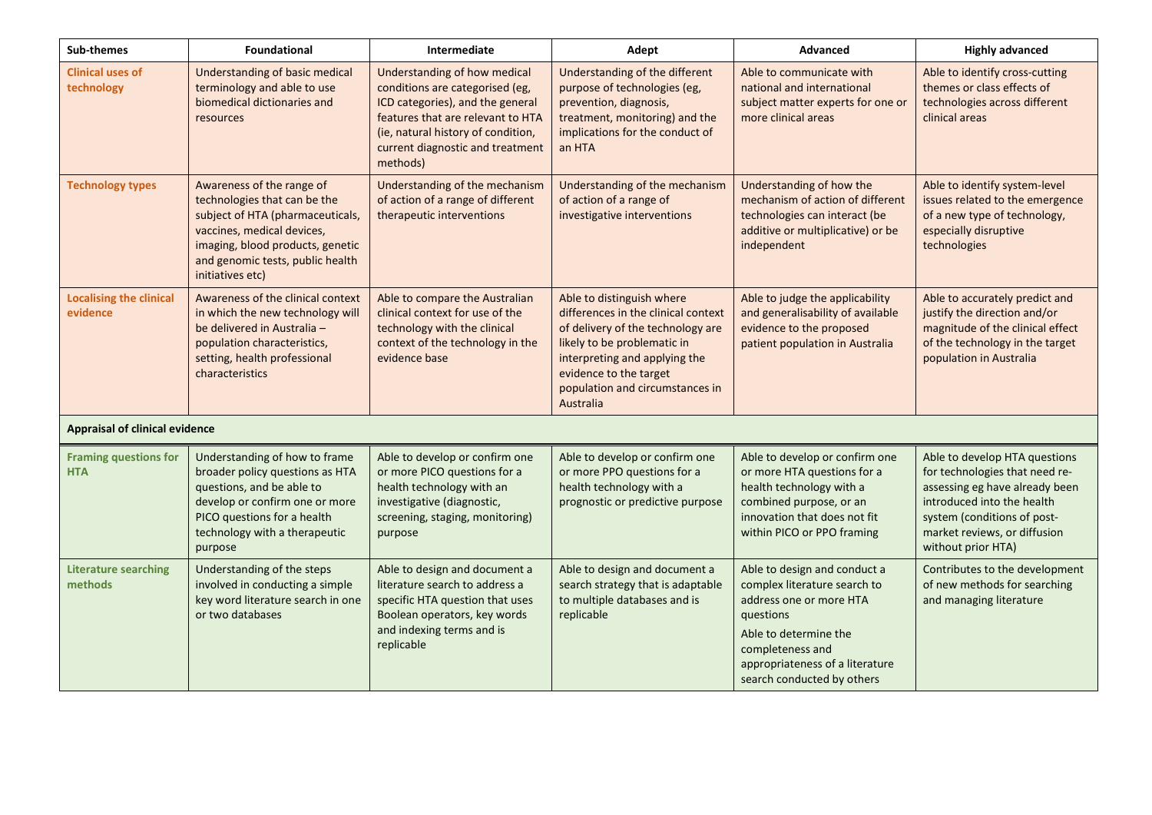| Sub-themes                                 | Foundational                                                                                                                                                                                                            | Intermediate                                                                                                                                                                                                                   | Adept                                                                                                                                                                                                                                           | Advanced                                                                                                                                                                                                           | <b>Highly advanced</b>                                                                                                                                                                                               |  |
|--------------------------------------------|-------------------------------------------------------------------------------------------------------------------------------------------------------------------------------------------------------------------------|--------------------------------------------------------------------------------------------------------------------------------------------------------------------------------------------------------------------------------|-------------------------------------------------------------------------------------------------------------------------------------------------------------------------------------------------------------------------------------------------|--------------------------------------------------------------------------------------------------------------------------------------------------------------------------------------------------------------------|----------------------------------------------------------------------------------------------------------------------------------------------------------------------------------------------------------------------|--|
| <b>Clinical uses of</b><br>technology      | Understanding of basic medical<br>terminology and able to use<br>biomedical dictionaries and<br>resources                                                                                                               | Understanding of how medical<br>conditions are categorised (eg,<br>ICD categories), and the general<br>features that are relevant to HTA<br>(ie, natural history of condition,<br>current diagnostic and treatment<br>methods) | Understanding of the different<br>purpose of technologies (eg,<br>prevention, diagnosis,<br>treatment, monitoring) and the<br>implications for the conduct of<br>an HTA                                                                         | Able to communicate with<br>national and international<br>subject matter experts for one or<br>more clinical areas                                                                                                 | Able to identify cross-cutting<br>themes or class effects of<br>technologies across different<br>clinical areas                                                                                                      |  |
| <b>Technology types</b>                    | Awareness of the range of<br>technologies that can be the<br>subject of HTA (pharmaceuticals,<br>vaccines, medical devices,<br>imaging, blood products, genetic<br>and genomic tests, public health<br>initiatives etc) | Understanding of the mechanism<br>of action of a range of different<br>therapeutic interventions                                                                                                                               | Understanding of the mechanism<br>of action of a range of<br>investigative interventions                                                                                                                                                        | Understanding of how the<br>mechanism of action of different<br>technologies can interact (be<br>additive or multiplicative) or be<br>independent                                                                  | Able to identify system-level<br>issues related to the emergence<br>of a new type of technology,<br>especially disruptive<br>technologies                                                                            |  |
| <b>Localising the clinical</b><br>evidence | Awareness of the clinical context<br>in which the new technology will<br>be delivered in Australia -<br>population characteristics,<br>setting, health professional<br>characteristics                                  | Able to compare the Australian<br>clinical context for use of the<br>technology with the clinical<br>context of the technology in the<br>evidence base                                                                         | Able to distinguish where<br>differences in the clinical context<br>of delivery of the technology are<br>likely to be problematic in<br>interpreting and applying the<br>evidence to the target<br>population and circumstances in<br>Australia | Able to judge the applicability<br>and generalisability of available<br>evidence to the proposed<br>patient population in Australia                                                                                | Able to accurately predict and<br>justify the direction and/or<br>magnitude of the clinical effect<br>of the technology in the target<br>population in Australia                                                     |  |
| <b>Appraisal of clinical evidence</b>      |                                                                                                                                                                                                                         |                                                                                                                                                                                                                                |                                                                                                                                                                                                                                                 |                                                                                                                                                                                                                    |                                                                                                                                                                                                                      |  |
| <b>Framing questions for</b><br><b>HTA</b> | Understanding of how to frame<br>broader policy questions as HTA<br>questions, and be able to<br>develop or confirm one or more<br>PICO questions for a health<br>technology with a therapeutic<br>purpose              | Able to develop or confirm one<br>or more PICO questions for a<br>health technology with an<br>investigative (diagnostic,<br>screening, staging, monitoring)<br>purpose                                                        | Able to develop or confirm one<br>or more PPO questions for a<br>health technology with a<br>prognostic or predictive purpose                                                                                                                   | Able to develop or confirm one<br>or more HTA questions for a<br>health technology with a<br>combined purpose, or an<br>innovation that does not fit<br>within PICO or PPO framing                                 | Able to develop HTA questions<br>for technologies that need re-<br>assessing eg have already been<br>introduced into the health<br>system (conditions of post-<br>market reviews, or diffusion<br>without prior HTA) |  |
| <b>Literature searching</b><br>methods     | Understanding of the steps<br>involved in conducting a simple<br>key word literature search in one<br>or two databases                                                                                                  | Able to design and document a<br>literature search to address a<br>specific HTA question that uses<br>Boolean operators, key words<br>and indexing terms and is<br>replicable                                                  | Able to design and document a<br>search strategy that is adaptable<br>to multiple databases and is<br>replicable                                                                                                                                | Able to design and conduct a<br>complex literature search to<br>address one or more HTA<br>questions<br>Able to determine the<br>completeness and<br>appropriateness of a literature<br>search conducted by others | Contributes to the development<br>of new methods for searching<br>and managing literature                                                                                                                            |  |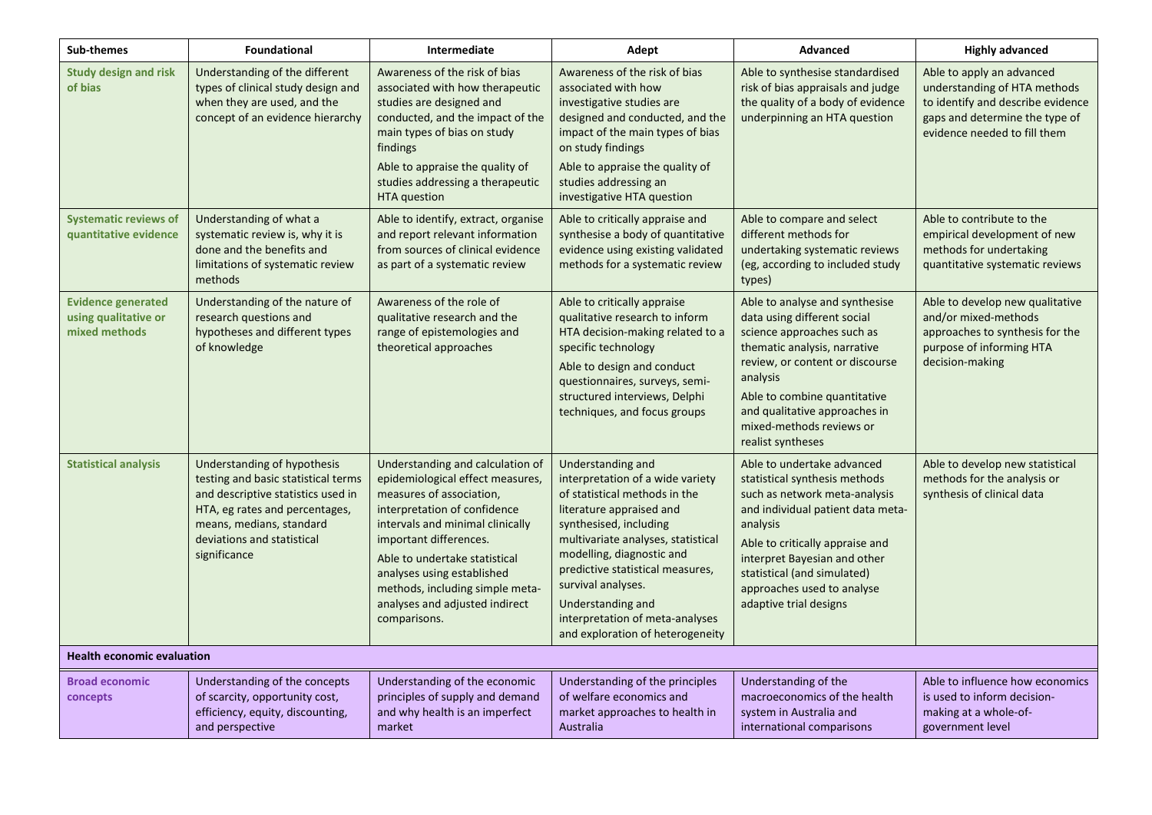| <b>Sub-themes</b>                                                  | <b>Foundational</b>                                                                                                                                                                                                  | Intermediate                                                                                                                                                                                                                                                                                                                                       | Adept                                                                                                                                                                                                                                                                                                                                                                 | <b>Advanced</b>                                                                                                                                                                                                                                                                                         | <b>Highly advanced</b>                                                                                                                                           |  |
|--------------------------------------------------------------------|----------------------------------------------------------------------------------------------------------------------------------------------------------------------------------------------------------------------|----------------------------------------------------------------------------------------------------------------------------------------------------------------------------------------------------------------------------------------------------------------------------------------------------------------------------------------------------|-----------------------------------------------------------------------------------------------------------------------------------------------------------------------------------------------------------------------------------------------------------------------------------------------------------------------------------------------------------------------|---------------------------------------------------------------------------------------------------------------------------------------------------------------------------------------------------------------------------------------------------------------------------------------------------------|------------------------------------------------------------------------------------------------------------------------------------------------------------------|--|
| <b>Study design and risk</b><br>of bias                            | Understanding of the different<br>types of clinical study design and<br>when they are used, and the<br>concept of an evidence hierarchy                                                                              | Awareness of the risk of bias<br>associated with how therapeutic<br>studies are designed and<br>conducted, and the impact of the<br>main types of bias on study<br>findings<br>Able to appraise the quality of<br>studies addressing a therapeutic<br><b>HTA</b> question                                                                          | Awareness of the risk of bias<br>associated with how<br>investigative studies are<br>designed and conducted, and the<br>impact of the main types of bias<br>on study findings<br>Able to appraise the quality of<br>studies addressing an<br>investigative HTA question                                                                                               | Able to synthesise standardised<br>risk of bias appraisals and judge<br>the quality of a body of evidence<br>underpinning an HTA question                                                                                                                                                               | Able to apply an advanced<br>understanding of HTA methods<br>to identify and describe evidence<br>gaps and determine the type of<br>evidence needed to fill them |  |
| <b>Systematic reviews of</b><br>quantitative evidence              | Understanding of what a<br>systematic review is, why it is<br>done and the benefits and<br>limitations of systematic review<br>methods                                                                               | Able to identify, extract, organise<br>and report relevant information<br>from sources of clinical evidence<br>as part of a systematic review                                                                                                                                                                                                      | Able to critically appraise and<br>synthesise a body of quantitative<br>evidence using existing validated<br>methods for a systematic review                                                                                                                                                                                                                          | Able to compare and select<br>different methods for<br>undertaking systematic reviews<br>(eg, according to included study<br>types)                                                                                                                                                                     | Able to contribute to the<br>empirical development of new<br>methods for undertaking<br>quantitative systematic reviews                                          |  |
| <b>Evidence generated</b><br>using qualitative or<br>mixed methods | Understanding of the nature of<br>research questions and<br>hypotheses and different types<br>of knowledge                                                                                                           | Awareness of the role of<br>qualitative research and the<br>range of epistemologies and<br>theoretical approaches                                                                                                                                                                                                                                  | Able to critically appraise<br>qualitative research to inform<br>HTA decision-making related to a<br>specific technology<br>Able to design and conduct<br>questionnaires, surveys, semi-<br>structured interviews, Delphi<br>techniques, and focus groups                                                                                                             | Able to analyse and synthesise<br>data using different social<br>science approaches such as<br>thematic analysis, narrative<br>review, or content or discourse<br>analysis<br>Able to combine quantitative<br>and qualitative approaches in<br>mixed-methods reviews or<br>realist syntheses            | Able to develop new qualitative<br>and/or mixed-methods<br>approaches to synthesis for the<br>purpose of informing HTA<br>decision-making                        |  |
| <b>Statistical analysis</b>                                        | Understanding of hypothesis<br>testing and basic statistical terms<br>and descriptive statistics used in<br>HTA, eg rates and percentages,<br>means, medians, standard<br>deviations and statistical<br>significance | Understanding and calculation of<br>epidemiological effect measures,<br>measures of association,<br>interpretation of confidence<br>intervals and minimal clinically<br>important differences.<br>Able to undertake statistical<br>analyses using established<br>methods, including simple meta-<br>analyses and adjusted indirect<br>comparisons. | Understanding and<br>interpretation of a wide variety<br>of statistical methods in the<br>literature appraised and<br>synthesised, including<br>multivariate analyses, statistical<br>modelling, diagnostic and<br>predictive statistical measures,<br>survival analyses.<br>Understanding and<br>interpretation of meta-analyses<br>and exploration of heterogeneity | Able to undertake advanced<br>statistical synthesis methods<br>such as network meta-analysis<br>and individual patient data meta-<br>analysis<br>Able to critically appraise and<br>interpret Bayesian and other<br>statistical (and simulated)<br>approaches used to analyse<br>adaptive trial designs | Able to develop new statistical<br>methods for the analysis or<br>synthesis of clinical data                                                                     |  |
| <b>Health economic evaluation</b>                                  |                                                                                                                                                                                                                      |                                                                                                                                                                                                                                                                                                                                                    |                                                                                                                                                                                                                                                                                                                                                                       |                                                                                                                                                                                                                                                                                                         |                                                                                                                                                                  |  |
| <b>Broad economic</b><br>concepts                                  | Understanding of the concepts<br>of scarcity, opportunity cost,<br>efficiency, equity, discounting,<br>and perspective                                                                                               | Understanding of the economic<br>principles of supply and demand<br>and why health is an imperfect<br>market                                                                                                                                                                                                                                       | Understanding of the principles<br>of welfare economics and<br>market approaches to health in<br>Australia                                                                                                                                                                                                                                                            | Understanding of the<br>macroeconomics of the health<br>system in Australia and<br>international comparisons                                                                                                                                                                                            | Able to influence how economics<br>is used to inform decision-<br>making at a whole-of-<br>government level                                                      |  |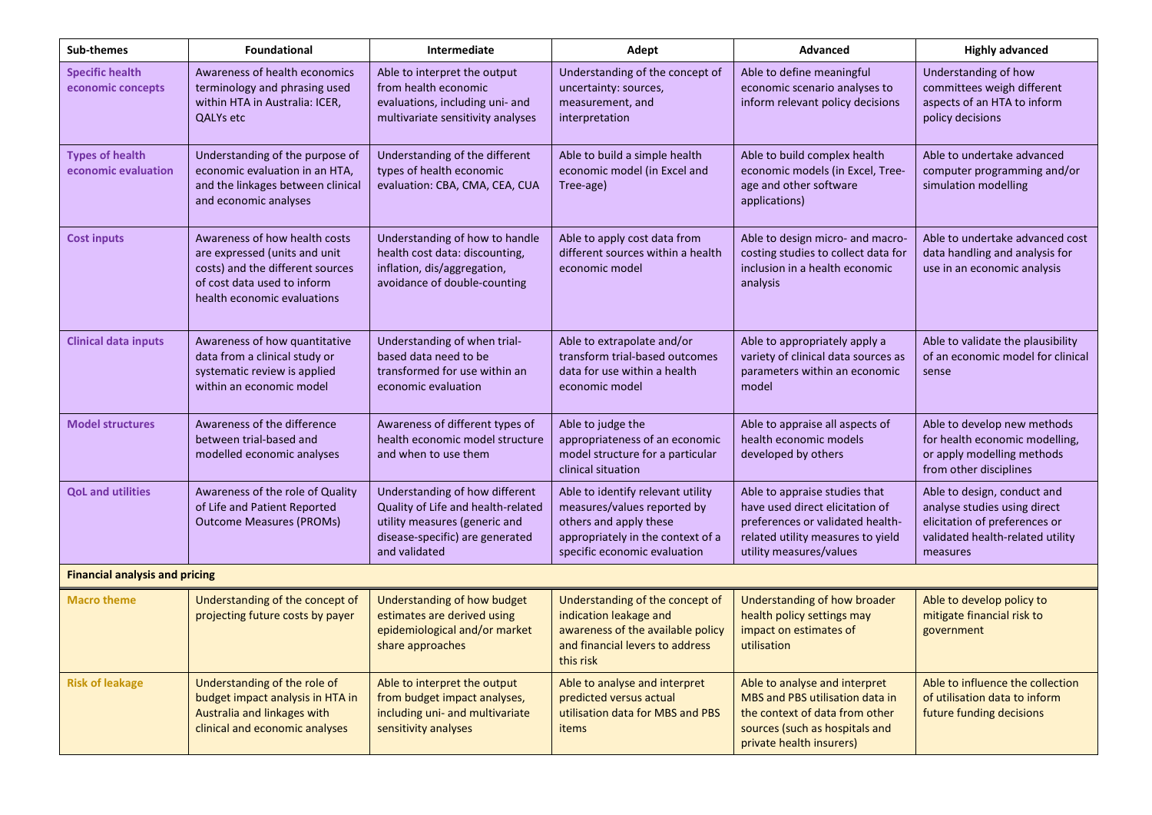| Sub-themes                                    | <b>Foundational</b>                                                                                                                                              | Intermediate                                                                                                                                              | Adept                                                                                                                                                           | Advanced                                                                                                                                                             | <b>Highly advanced</b>                                                                                                                       |  |
|-----------------------------------------------|------------------------------------------------------------------------------------------------------------------------------------------------------------------|-----------------------------------------------------------------------------------------------------------------------------------------------------------|-----------------------------------------------------------------------------------------------------------------------------------------------------------------|----------------------------------------------------------------------------------------------------------------------------------------------------------------------|----------------------------------------------------------------------------------------------------------------------------------------------|--|
| <b>Specific health</b><br>economic concepts   | Awareness of health economics<br>terminology and phrasing used<br>within HTA in Australia: ICER,<br><b>QALYs</b> etc                                             | Able to interpret the output<br>from health economic<br>evaluations, including uni- and<br>multivariate sensitivity analyses                              | Understanding of the concept of<br>uncertainty: sources,<br>measurement, and<br>interpretation                                                                  | Able to define meaningful<br>economic scenario analyses to<br>inform relevant policy decisions                                                                       | Understanding of how<br>committees weigh different<br>aspects of an HTA to inform<br>policy decisions                                        |  |
| <b>Types of health</b><br>economic evaluation | Understanding of the purpose of<br>economic evaluation in an HTA,<br>and the linkages between clinical<br>and economic analyses                                  | Understanding of the different<br>types of health economic<br>evaluation: CBA, CMA, CEA, CUA                                                              | Able to build a simple health<br>economic model (in Excel and<br>Tree-age)                                                                                      | Able to build complex health<br>economic models (in Excel, Tree-<br>age and other software<br>applications)                                                          | Able to undertake advanced<br>computer programming and/or<br>simulation modelling                                                            |  |
| <b>Cost inputs</b>                            | Awareness of how health costs<br>are expressed (units and unit<br>costs) and the different sources<br>of cost data used to inform<br>health economic evaluations | Understanding of how to handle<br>health cost data: discounting,<br>inflation, dis/aggregation,<br>avoidance of double-counting                           | Able to apply cost data from<br>different sources within a health<br>economic model                                                                             | Able to design micro- and macro-<br>costing studies to collect data for<br>inclusion in a health economic<br>analysis                                                | Able to undertake advanced cost<br>data handling and analysis for<br>use in an economic analysis                                             |  |
| <b>Clinical data inputs</b>                   | Awareness of how quantitative<br>data from a clinical study or<br>systematic review is applied<br>within an economic model                                       | Understanding of when trial-<br>based data need to be<br>transformed for use within an<br>economic evaluation                                             | Able to extrapolate and/or<br>transform trial-based outcomes<br>data for use within a health<br>economic model                                                  | Able to appropriately apply a<br>variety of clinical data sources as<br>parameters within an economic<br>model                                                       | Able to validate the plausibility<br>of an economic model for clinical<br>sense                                                              |  |
| <b>Model structures</b>                       | Awareness of the difference<br>between trial-based and<br>modelled economic analyses                                                                             | Awareness of different types of<br>health economic model structure<br>and when to use them                                                                | Able to judge the<br>appropriateness of an economic<br>model structure for a particular<br>clinical situation                                                   | Able to appraise all aspects of<br>health economic models<br>developed by others                                                                                     | Able to develop new methods<br>for health economic modelling,<br>or apply modelling methods<br>from other disciplines                        |  |
| <b>QoL and utilities</b>                      | Awareness of the role of Quality<br>of Life and Patient Reported<br><b>Outcome Measures (PROMs)</b>                                                              | Understanding of how different<br>Quality of Life and health-related<br>utility measures (generic and<br>disease-specific) are generated<br>and validated | Able to identify relevant utility<br>measures/values reported by<br>others and apply these<br>appropriately in the context of a<br>specific economic evaluation | Able to appraise studies that<br>have used direct elicitation of<br>preferences or validated health-<br>related utility measures to yield<br>utility measures/values | Able to design, conduct and<br>analyse studies using direct<br>elicitation of preferences or<br>validated health-related utility<br>measures |  |
| <b>Financial analysis and pricing</b>         |                                                                                                                                                                  |                                                                                                                                                           |                                                                                                                                                                 |                                                                                                                                                                      |                                                                                                                                              |  |
| <b>Macro theme</b>                            | Understanding of the concept of<br>projecting future costs by payer                                                                                              | Understanding of how budget<br>estimates are derived using<br>epidemiological and/or market<br>share approaches                                           | Understanding of the concept of<br>indication leakage and<br>awareness of the available policy<br>and financial levers to address<br>this risk                  | Understanding of how broader<br>health policy settings may<br>impact on estimates of<br>utilisation                                                                  | Able to develop policy to<br>mitigate financial risk to<br>government                                                                        |  |
| <b>Risk of leakage</b>                        | Understanding of the role of<br>budget impact analysis in HTA in<br>Australia and linkages with<br>clinical and economic analyses                                | Able to interpret the output<br>from budget impact analyses,<br>including uni- and multivariate<br>sensitivity analyses                                   | Able to analyse and interpret<br>predicted versus actual<br>utilisation data for MBS and PBS<br>items                                                           | Able to analyse and interpret<br>MBS and PBS utilisation data in<br>the context of data from other<br>sources (such as hospitals and<br>private health insurers)     | Able to influence the collection<br>of utilisation data to inform<br>future funding decisions                                                |  |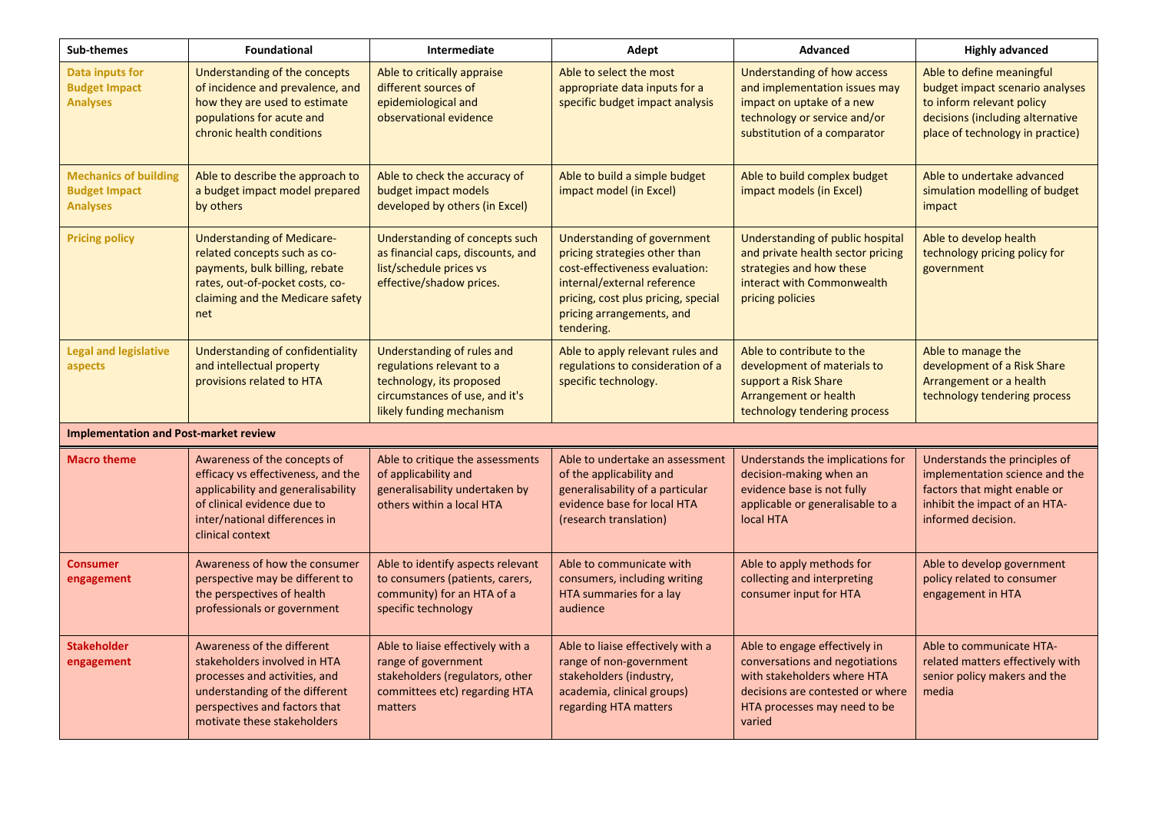| Sub-themes                                                              | <b>Foundational</b>                                                                                                                                                                           | Intermediate                                                                                                                                      | Adept                                                                                                                                                                                                                  | <b>Advanced</b>                                                                                                                                                              | <b>Highly advanced</b>                                                                                                                                            |
|-------------------------------------------------------------------------|-----------------------------------------------------------------------------------------------------------------------------------------------------------------------------------------------|---------------------------------------------------------------------------------------------------------------------------------------------------|------------------------------------------------------------------------------------------------------------------------------------------------------------------------------------------------------------------------|------------------------------------------------------------------------------------------------------------------------------------------------------------------------------|-------------------------------------------------------------------------------------------------------------------------------------------------------------------|
| Data inputs for<br><b>Budget Impact</b><br><b>Analyses</b>              | Understanding of the concepts<br>of incidence and prevalence, and<br>how they are used to estimate<br>populations for acute and<br>chronic health conditions                                  | Able to critically appraise<br>different sources of<br>epidemiological and<br>observational evidence                                              | Able to select the most<br>appropriate data inputs for a<br>specific budget impact analysis                                                                                                                            | <b>Understanding of how access</b><br>and implementation issues may<br>impact on uptake of a new<br>technology or service and/or<br>substitution of a comparator             | Able to define meaningful<br>budget impact scenario analyses<br>to inform relevant policy<br>decisions (including alternative<br>place of technology in practice) |
| <b>Mechanics of building</b><br><b>Budget Impact</b><br><b>Analyses</b> | Able to describe the approach to<br>a budget impact model prepared<br>by others                                                                                                               | Able to check the accuracy of<br>budget impact models<br>developed by others (in Excel)                                                           | Able to build a simple budget<br>impact model (in Excel)                                                                                                                                                               | Able to build complex budget<br>impact models (in Excel)                                                                                                                     | Able to undertake advanced<br>simulation modelling of budget<br>impact                                                                                            |
| <b>Pricing policy</b>                                                   | <b>Understanding of Medicare-</b><br>related concepts such as co-<br>payments, bulk billing, rebate<br>rates, out-of-pocket costs, co-<br>claiming and the Medicare safety<br>net             | Understanding of concepts such<br>as financial caps, discounts, and<br>list/schedule prices vs<br>effective/shadow prices.                        | <b>Understanding of government</b><br>pricing strategies other than<br>cost-effectiveness evaluation:<br>internal/external reference<br>pricing, cost plus pricing, special<br>pricing arrangements, and<br>tendering. | Understanding of public hospital<br>and private health sector pricing<br>strategies and how these<br>interact with Commonwealth<br>pricing policies                          | Able to develop health<br>technology pricing policy for<br>government                                                                                             |
| <b>Legal and legislative</b><br>aspects                                 | Understanding of confidentiality<br>and intellectual property<br>provisions related to HTA                                                                                                    | Understanding of rules and<br>regulations relevant to a<br>technology, its proposed<br>circumstances of use, and it's<br>likely funding mechanism | Able to apply relevant rules and<br>regulations to consideration of a<br>specific technology.                                                                                                                          | Able to contribute to the<br>development of materials to<br>support a Risk Share<br>Arrangement or health<br>technology tendering process                                    | Able to manage the<br>development of a Risk Share<br>Arrangement or a health<br>technology tendering process                                                      |
| <b>Implementation and Post-market review</b>                            |                                                                                                                                                                                               |                                                                                                                                                   |                                                                                                                                                                                                                        |                                                                                                                                                                              |                                                                                                                                                                   |
| <b>Macro theme</b>                                                      | Awareness of the concepts of<br>efficacy vs effectiveness, and the<br>applicability and generalisability<br>of clinical evidence due to<br>inter/national differences in<br>clinical context  | Able to critique the assessments<br>of applicability and<br>generalisability undertaken by<br>others within a local HTA                           | Able to undertake an assessment<br>of the applicability and<br>generalisability of a particular<br>evidence base for local HTA<br>(research translation)                                                               | Understands the implications for<br>decision-making when an<br>evidence base is not fully<br>applicable or generalisable to a<br>local HTA                                   | Understands the principles of<br>implementation science and the<br>factors that might enable or<br>inhibit the impact of an HTA-<br>informed decision.            |
| <b>Consumer</b><br>engagement                                           | Awareness of how the consumer<br>perspective may be different to<br>the perspectives of health<br>professionals or government                                                                 | Able to identify aspects relevant<br>to consumers (patients, carers,<br>community) for an HTA of a<br>specific technology                         | Able to communicate with<br>consumers, including writing<br>HTA summaries for a lay<br>audience                                                                                                                        | Able to apply methods for<br>collecting and interpreting<br>consumer input for HTA                                                                                           | Able to develop government<br>policy related to consumer<br>engagement in HTA                                                                                     |
| <b>Stakeholder</b><br>engagement                                        | Awareness of the different<br>stakeholders involved in HTA<br>processes and activities, and<br>understanding of the different<br>perspectives and factors that<br>motivate these stakeholders | Able to liaise effectively with a<br>range of government<br>stakeholders (regulators, other<br>committees etc) regarding HTA<br>matters           | Able to liaise effectively with a<br>range of non-government<br>stakeholders (industry,<br>academia, clinical groups)<br>regarding HTA matters                                                                         | Able to engage effectively in<br>conversations and negotiations<br>with stakeholders where HTA<br>decisions are contested or where<br>HTA processes may need to be<br>varied | Able to communicate HTA-<br>related matters effectively with<br>senior policy makers and the<br>media                                                             |